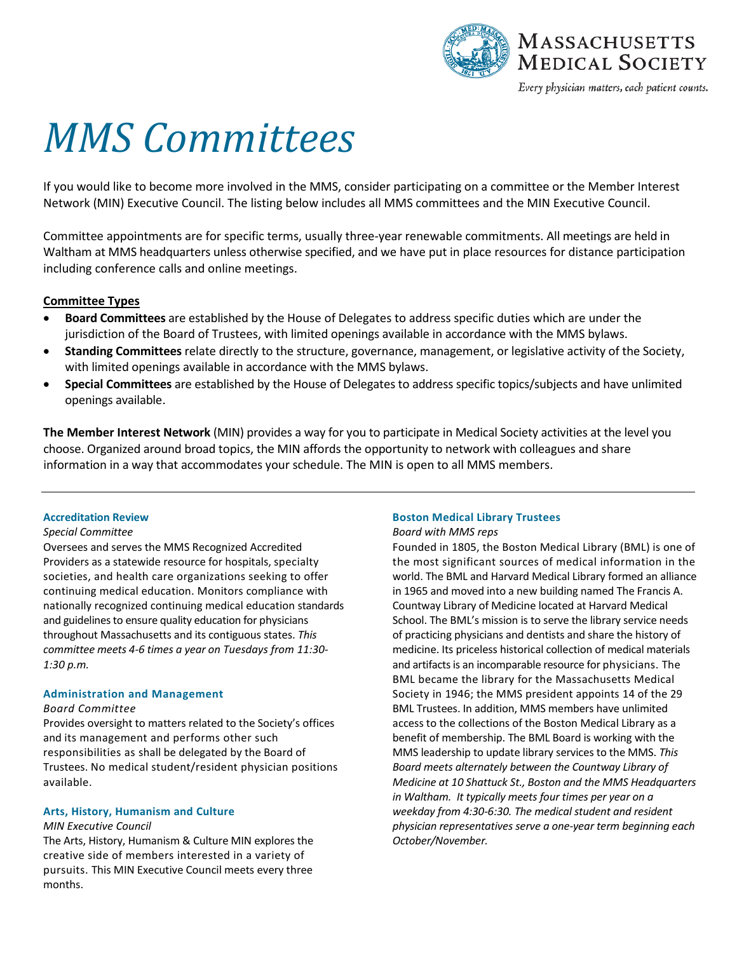

# *MMS Committees*

If you would like to become more involved in the MMS, consider participating on a committee or the Member Interest Network (MIN) Executive Council. The listing below includes all MMS committees and the MIN Executive Council.

Committee appointments are for specific terms, usually three-year renewable commitments. All meetings are held in Waltham at MMS headquarters unless otherwise specified, and we have put in place resources for distance participation including conference calls and online meetings.

# **Committee Types**

- **Board Committees** are established by the House of Delegates to address specific duties which are under the jurisdiction of the Board of Trustees, with limited openings available in accordance with the MMS bylaws.
- **Standing Committees** relate directly to the structure, governance, management, or legislative activity of the Society, with limited openings available in accordance with the MMS bylaws.
- **Special Committees** are established by the House of Delegates to address specific topics/subjects and have unlimited openings available.

**The Member Interest Network** (MIN) provides a way for you to participate in Medical Society activities at the level you choose. Organized around broad topics, the MIN affords the opportunity to network with colleagues and share information in a way that accommodates your schedule. The MIN is open to all MMS members.

# **Accreditation Review**

#### *Special Committee*

Oversees and serves the MMS Recognized Accredited Providers as a statewide resource for hospitals, specialty societies, and health care organizations seeking to offer continuing medical education. Monitors compliance with nationally recognized continuing medical education standards and guidelines to ensure quality education for physicians throughout Massachusetts and its contiguous states. *This committee meets 4-6 times a year on Tuesdays from 11:30- 1:30 p.m.*

# **Administration and Management**

#### *Board Committee*

Provides oversight to matters related to the Society's offices and its management and performs other such responsibilities as shall be delegated by the Board of Trustees. No medical student/resident physician positions available.

# **Arts, History, Humanism and Culture**

# *MIN Executive Council*

The Arts, History, Humanism & Culture MIN explores the creative side of members interested in a variety of pursuits. This MIN Executive Council meets every three months.

# **Boston Medical Library Trustees**

*Board with MMS reps*

Founded in 1805, the Boston Medical Library (BML) is one of the most significant sources of medical information in the world. The BML and Harvard Medical Library formed an alliance in 1965 and moved into a new building named The Francis A. Countway Library of Medicine located at Harvard Medical School. The BML's mission is to serve the library service needs of practicing physicians and dentists and share the history of medicine. Its priceless historical collection of medical materials and artifacts is an incomparable resource for physicians. The BML became the library for the Massachusetts Medical Society in 1946; the MMS president appoints 14 of the 29 BML Trustees. In addition, MMS members have unlimited access to the collections of the Boston Medical Library as a benefit of membership. The BML Board is working with the MMS leadership to update library services to the MMS. *This Board meets alternately between the Countway Library of Medicine at 10 Shattuck St., Boston and the MMS Headquarters in Waltham. It typically meets four times per year on a weekday from 4:30-6:30. The medical student and resident physician representatives serve a one-year term beginning each October/November.*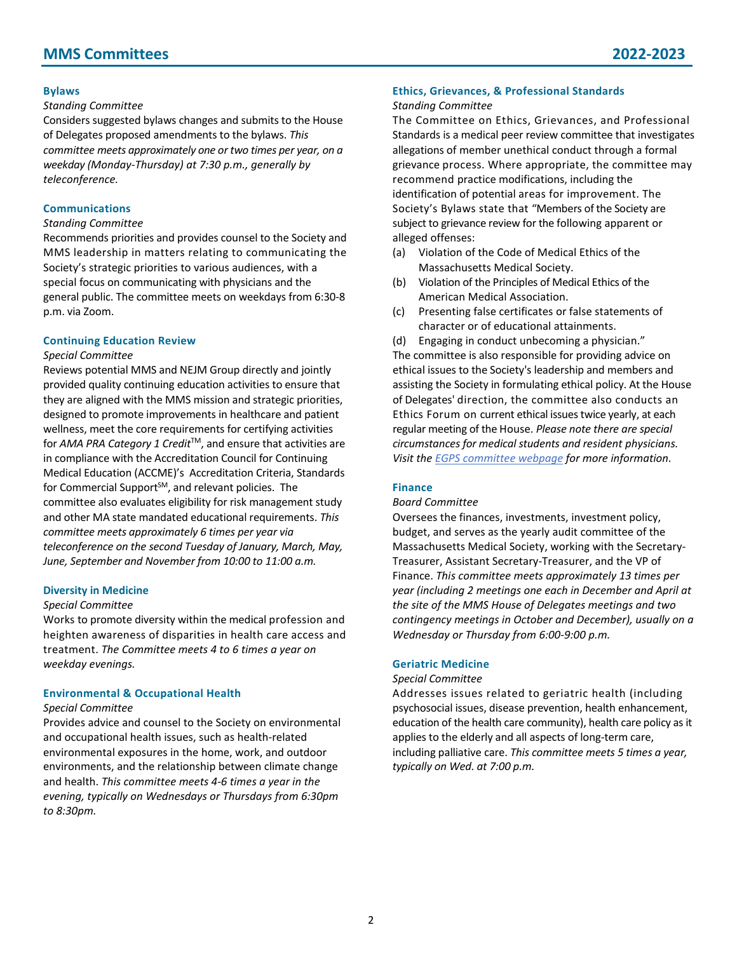# **Bylaws**

#### *Standing Committee*

Considers suggested bylaws changes and submits to the House of Delegates proposed amendments to the bylaws. *This committee meets approximately one or two times per year, on a weekday (Monday-Thursday) at 7:30 p.m., generally by teleconference.*

# **Communications**

#### *Standing Committee*

Recommends priorities and provides counsel to the Society and MMS leadership in matters relating to communicating the Society's strategic priorities to various audiences, with a special focus on communicating with physicians and the general public. The committee meets on weekdays from 6:30-8 p.m. via Zoom.

# **Continuing Education Review**

#### *Special Committee*

Reviews potential MMS and NEJM Group directly and jointly provided quality continuing education activities to ensure that they are aligned with the MMS mission and strategic priorities, designed to promote improvements in healthcare and patient wellness, meet the core requirements for certifying activities for *AMA PRA Category 1 Credit*<sup>™</sup>, and ensure that activities are in compliance with the Accreditation Council for Continuing Medical Education (ACCME)'s Accreditation Criteria, Standards for Commercial Support $^{5M}$ , and relevant policies. The committee also evaluates eligibility for risk management study and other MA state mandated educational requirements. *This committee meets approximately 6 times per year via teleconference on the second Tuesday of January, March, May, June, September and November from 10:00 to 11:00 a.m.*

#### **Diversity in Medicine**

#### *Special Committee*

Works to promote diversity within the medical profession and heighten awareness of disparities in health care access and treatment. *The Committee meets 4 to 6 times a year on weekday evenings.*

#### **Environmental & Occupational Health**

#### *Special Committee*

Provides advice and counsel to the Society on environmental and occupational health issues, such as health-related environmental exposures in the home, work, and outdoor environments, and the relationship between climate change and health. *This committee meets 4-6 times a year in the evening, typically on Wednesdays or Thursdays from 6:30pm to 8:30pm.*

# **Ethics, Grievances, & Professional Standards**

#### *Standing Committee*

The Committee on Ethics, Grievances, and Professional Standards is a medical peer review committee that investigates allegations of member unethical conduct through a formal grievance process. Where appropriate, the committee may recommend practice modifications, including the identification of potential areas for improvement. The Society's Bylaws state that "Members of the Society are subject to grievance review for the following apparent or alleged offenses:

- (a) Violation of the Code of Medical Ethics of the Massachusetts Medical Society.
- (b) Violation of the Principles of Medical Ethics of the American Medical Association.
- (c) Presenting false certificates or false statements of character or of educational attainments.
- (d) Engaging in conduct unbecoming a physician."

The committee is also responsible for providing advice on ethical issues to the Society's leadership and members and assisting the Society in formulating ethical policy. At the House of Delegates' direction, the committee also conducts an Ethics Forum on current ethical issues twice yearly, at each regular meeting of the House. *Please note there are special circumstances for medical students and resident physicians. Visit th[e EGPS committee webpage](http://www.massmed.org/Governance-and-Leadership/Committees,-Task-Forces-and-Sections/Committee-on-Ethics,-Grievances,-and-Professional-Standards) for more information.*

#### **Finance**

#### *Board Committee*

Oversees the finances, investments, investment policy, budget, and serves as the yearly audit committee of the Massachusetts Medical Society, working with the Secretary-Treasurer, Assistant Secretary-Treasurer, and the VP of Finance. *This committee meets approximately 13 times per year (including 2 meetings one each in December and April at the site of the MMS House of Delegates meetings and two contingency meetings in October and December), usually on a Wednesday or Thursday from 6:00-9:00 p.m.*

#### **Geriatric Medicine**

#### *Special Committee*

Addresses issues related to geriatric health (including psychosocial issues, disease prevention, health enhancement, education of the health care community), health care policy as it applies to the elderly and all aspects of long-term care, including palliative care. *This committee meets 5 times a year, typically on Wed. at 7:00 p.m.*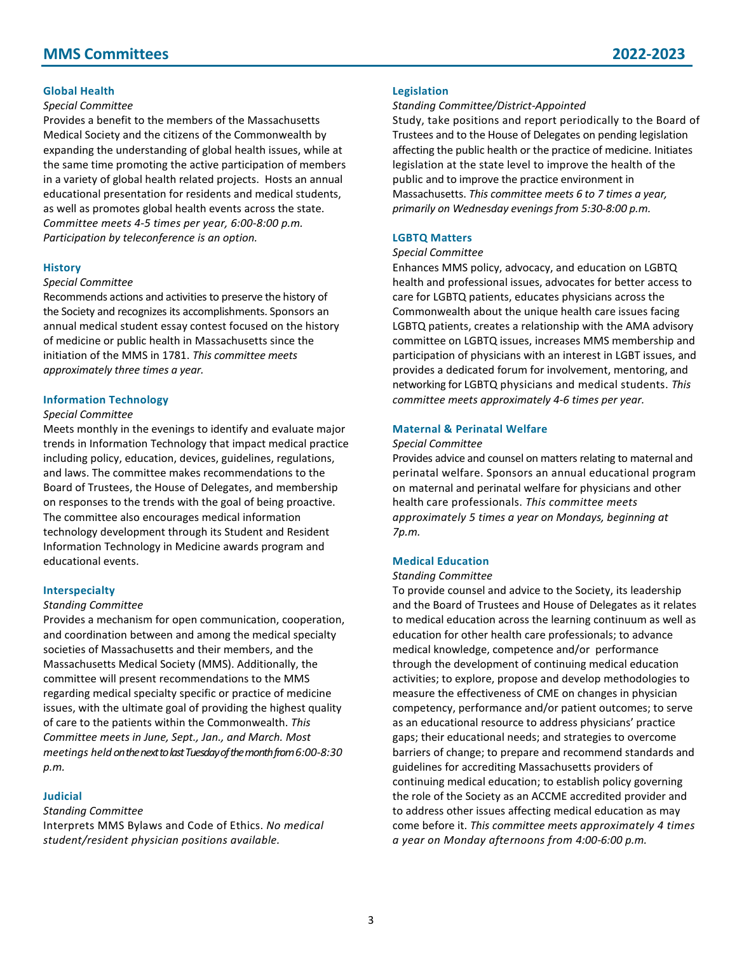# **MMS Committees 2022-2023**

#### **Global Health**

#### *Special Committee*

Provides a benefit to the members of the Massachusetts Medical Society and the citizens of the Commonwealth by expanding the understanding of global health issues, while at the same time promoting the active participation of members in a variety of global health related projects. Hosts an annual educational presentation for residents and medical students, as well as promotes global health events across the state. *Committee meets 4-5 times per year, 6:00-8:00 p.m. Participation by teleconference is an option.*

#### **History**

#### *Special Committee*

Recommends actions and activities to preserve the history of the Society and recognizes its accomplishments. Sponsors an annual medical student essay contest focused on the history of medicine or public health in Massachusetts since the initiation of the MMS in 1781. *This committee meets approximately three times a year.*

#### **Information Technology**

#### *Special Committee*

Meets monthly in the evenings to identify and evaluate major trends in Information Technology that impact medical practice including policy, education, devices, guidelines, regulations, and laws. The committee makes recommendations to the Board of Trustees, the House of Delegates, and membership on responses to the trends with the goal of being proactive. The committee also encourages medical information technology development through its Student and Resident Information Technology in Medicine awards program and educational events.

#### **Interspecialty**

#### *Standing Committee*

Provides a mechanism for open communication, cooperation, and coordination between and among the medical specialty societies of Massachusetts and their members, and the Massachusetts Medical Society (MMS). Additionally, the committee will present recommendations to the MMS regarding medical specialty specific or practice of medicine issues, with the ultimate goal of providing the highest quality of care to the patients within the Commonwealth. *This Committee meets in June, Sept., Jan., and March. Most meetings held on the next to last Tuesday of the month from 6:00-8:30 p.m.*

#### **Judicial**

#### *Standing Committee*

Interprets MMS Bylaws and Code of Ethics. *No medical student/resident physician positions available.*

#### **Legislation**

*Standing Committee/District-Appointed*

Study, take positions and report periodically to the Board of Trustees and to the House of Delegates on pending legislation affecting the public health or the practice of medicine. Initiates legislation at the state level to improve the health of the public and to improve the practice environment in Massachusetts. *This committee meets 6 to 7 times a year, primarily on Wednesday evenings from 5:30-8:00 p.m.*

#### **LGBTQ Matters**

#### *Special Committee*

Enhances MMS policy, advocacy, and education on LGBTQ health and professional issues, advocates for better access to care for LGBTQ patients, educates physicians across the Commonwealth about the unique health care issues facing LGBTQ patients, creates a relationship with the AMA advisory committee on LGBTQ issues, increases MMS membership and participation of physicians with an interest in LGBT issues, and provides a dedicated forum for involvement, mentoring, and networking for LGBTQ physicians and medical students. *This committee meets approximately 4-6 times per year.*

#### **Maternal & Perinatal Welfare**

#### *Special Committee*

Provides advice and counsel on matters relating to maternal and perinatal welfare. Sponsors an annual educational program on maternal and perinatal welfare for physicians and other health care professionals. *This committee meets approximately 5 times a year on Mondays, beginning at 7p.m.*

#### **Medical Education**

#### *Standing Committee*

To provide counsel and advice to the Society, its leadership and the Board of Trustees and House of Delegates as it relates to medical education across the learning continuum as well as education for other health care professionals; to advance medical knowledge, competence and/or performance through the development of continuing medical education activities; to explore, propose and develop methodologies to measure the effectiveness of CME on changes in physician competency, performance and/or patient outcomes; to serve as an educational resource to address physicians' practice gaps; their educational needs; and strategies to overcome barriers of change; to prepare and recommend standards and guidelines for accrediting Massachusetts providers of continuing medical education; to establish policy governing the role of the Society as an ACCME accredited provider and to address other issues affecting medical education as may come before it. *This committee meets approximately 4 times a year on Monday afternoons from 4:00-6:00 p.m.*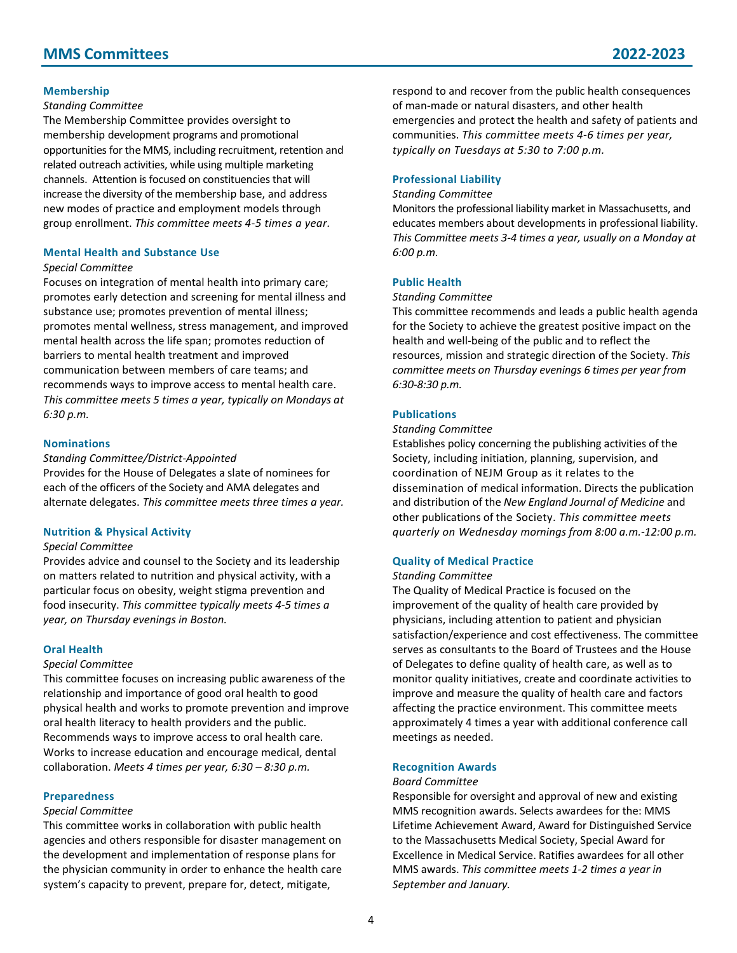#### **Membership**

#### *Standing Committee*

The Membership Committee provides oversight to membership development programs and promotional opportunities for the MMS, including recruitment, retention and related outreach activities, while using multiple marketing channels. Attention is focused on constituencies that will increase the diversity of the membership base, and address new modes of practice and employment models through group enrollment. *This committee meets 4-5 times a year.*

# **Mental Health and Substance Use**

#### *Special Committee*

Focuses on integration of mental health into primary care; promotes early detection and screening for mental illness and substance use; promotes prevention of mental illness; promotes mental wellness, stress management, and improved mental health across the life span; promotes reduction of barriers to mental health treatment and improved communication between members of care teams; and recommends ways to improve access to mental health care. *This committee meets 5 times a year, typically on Mondays at 6:30 p.m.*

#### **Nominations**

#### *Standing Committee/District-Appointed*

Provides for the House of Delegates a slate of nominees for each of the officers of the Society and AMA delegates and alternate delegates. *This committee meets three times a year.*

#### **Nutrition & Physical Activity**

#### *Special Committee*

Provides advice and counsel to the Society and its leadership on matters related to nutrition and physical activity, with a particular focus on obesity, weight stigma prevention and food insecurity. *This committee typically meets 4-5 times a year, on Thursday evenings in Boston.*

#### **Oral Health**

#### *Special Committee*

This committee focuses on increasing public awareness of the relationship and importance of good oral health to good physical health and works to promote prevention and improve oral health literacy to health providers and the public. Recommends ways to improve access to oral health care. Works to increase education and encourage medical, dental collaboration. *Meets 4 times per year, 6:30 – 8:30 p.m.*

#### **Preparedness**

#### *Special Committee*

This committee work**s** in collaboration with public health agencies and others responsible for disaster management on the development and implementation of response plans for the physician community in order to enhance the health care system's capacity to prevent, prepare for, detect, mitigate,

respond to and recover from the public health consequences of man-made or natural disasters, and other health emergencies and protect the health and safety of patients and communities. *This committee meets 4-6 times per year, typically on Tuesdays at 5:30 to 7:00 p.m.*

# **Professional Liability**

#### *Standing Committee*

Monitors the professional liability market in Massachusetts, and educates members about developments in professional liability. *This Committee meets 3-4 times a year, usually on a Monday at 6:00 p.m.*

# **Public Health**

#### *Standing Committee*

This committee recommends and leads a public health agenda for the Society to achieve the greatest positive impact on the health and well-being of the public and to reflect the resources, mission and strategic direction of the Society. *This committee meets on Thursday evenings 6 times per year from 6:30-8:30 p.m.*

#### **Publications**

#### *Standing Committee*

Establishes policy concerning the publishing activities of the Society, including initiation, planning, supervision, and coordination of NEJM Group as it relates to the dissemination of medical information. Directs the publication and distribution of the *New England Journal of Medicine* and other publications of the Society. *This committee meets quarterly on Wednesday mornings from 8:00 a.m.-12:00 p.m.*

#### **Quality of Medical Practice**

#### *Standing Committee*

The Quality of Medical Practice is focused on the improvement of the quality of health care provided by physicians, including attention to patient and physician satisfaction/experience and cost effectiveness. The committee serves as consultants to the Board of Trustees and the House of Delegates to define quality of health care, as well as to monitor quality initiatives, create and coordinate activities to improve and measure the quality of health care and factors affecting the practice environment. This committee meets approximately 4 times a year with additional conference call meetings as needed.

#### **Recognition Awards**

#### *Board Committee*

Responsible for oversight and approval of new and existing MMS recognition awards. Selects awardees for the: MMS Lifetime Achievement Award, Award for Distinguished Service to the Massachusetts Medical Society, Special Award for Excellence in Medical Service. Ratifies awardees for all other MMS awards. *This committee meets 1-2 times a year in September and January.*